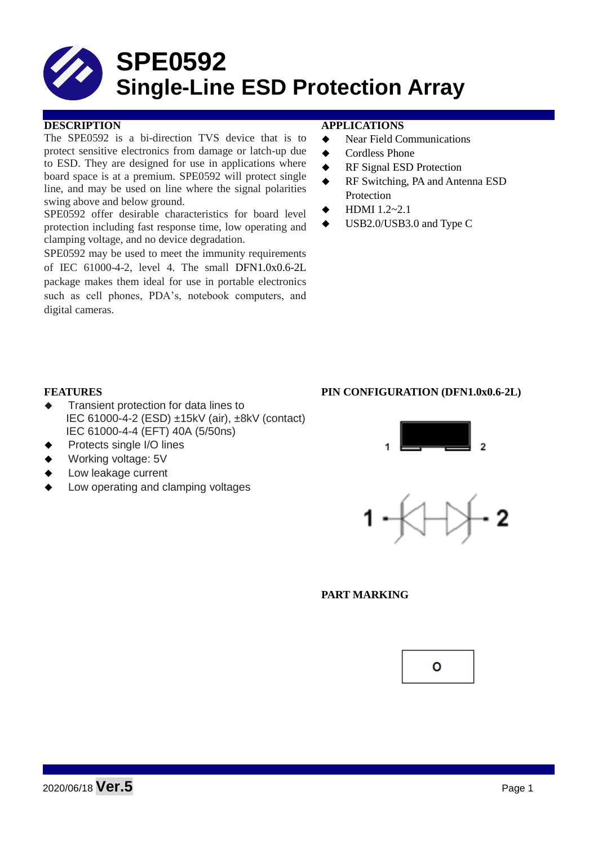# **SPE0592 Single-Line ESD Protection Array**

The SPE0592 is a bi-direction TVS device that is to protect sensitive electronics from damage or latch-up due to ESD. They are designed for use in applications where board space is at a premium. SPE0592 will protect single line, and may be used on line where the signal polarities swing above and below ground.

SPE0592 offer desirable characteristics for board level protection including fast response time, low operating and clamping voltage, and no device degradation.

SPE0592 may be used to meet the immunity requirements of IEC 61000-4-2, level 4. The small DFN1.0x0.6-2L package makes them ideal for use in portable electronics such as cell phones, PDA's, notebook computers, and digital cameras.

### **DESCRIPTION APPLICATIONS**

- ◆ Near Field Communications
- ◆ Cordless Phone
- ◆ RF Signal ESD Protection
- ◆ RF Switching, PA and Antenna ESD **Protection**
- HDMI 1.2~2.1
- USB2.0/USB3.0 and Type C

- Transient protection for data lines to IEC 61000-4-2 (ESD) ±15kV (air), ±8kV (contact) IEC 61000-4-4 (EFT) 40A (5/50ns)
- Protects single I/O lines
- Working voltage: 5V
- Low leakage current
- Low operating and clamping voltages







#### **PART MARKING**

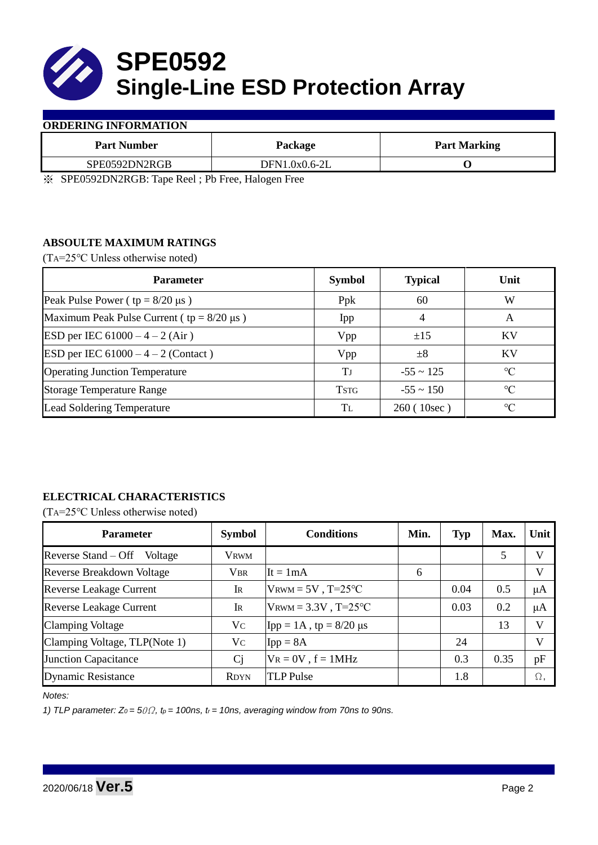

### **ORDERING INFORMATION**

| <b>Part Number</b>                                                                                                                                                                                                                                                                                                                                                | Package                             | <b>Part Marking</b> |  |  |
|-------------------------------------------------------------------------------------------------------------------------------------------------------------------------------------------------------------------------------------------------------------------------------------------------------------------------------------------------------------------|-------------------------------------|---------------------|--|--|
| SPE0592DN2RGB                                                                                                                                                                                                                                                                                                                                                     | DFN1.0x0.6-2L                       |                     |  |  |
| $\mathbf{A}$ $\mathbf{A}$ $\mathbf{A}$ $\mathbf{A}$ $\mathbf{A}$ $\mathbf{A}$ $\mathbf{A}$ $\mathbf{A}$ $\mathbf{A}$ $\mathbf{A}$ $\mathbf{A}$ $\mathbf{A}$ $\mathbf{A}$ $\mathbf{A}$ $\mathbf{A}$ $\mathbf{A}$ $\mathbf{A}$ $\mathbf{A}$ $\mathbf{A}$ $\mathbf{A}$ $\mathbf{A}$ $\mathbf{A}$ $\mathbf{A}$ $\mathbf{A}$ $\mathbf{$<br>$\sim$ $\sim$ $\sim$ $\sim$ | $\overline{\phantom{0}}$<br>$- - -$ |                     |  |  |

※ SPE0592DN2RGB: Tape Reel ; Pb Free, Halogen Free

## **ABSOULTE MAXIMUM RATINGS**

(TA=25℃ Unless otherwise noted)

| <b>Parameter</b>                                 | <b>Symbol</b> | <b>Typical</b> | Unit            |  |
|--------------------------------------------------|---------------|----------------|-----------------|--|
| Peak Pulse Power ( $tp = 8/20 \mu s$ )           | Ppk           | 60             | W               |  |
| Maximum Peak Pulse Current ( $tp = 8/20 \mu s$ ) | Ipp           | 4              | A               |  |
| ESD per IEC $61000 - 4 - 2$ (Air)                | Vpp           | ±15            | <b>KV</b>       |  |
| ESD per IEC $61000 - 4 - 2$ (Contact)            | Vpp           | $\pm 8$        | KV              |  |
| <b>Operating Junction Temperature</b>            | Tј            | $-55 \sim 125$ | $\rm ^{\circ}C$ |  |
| <b>Storage Temperature Range</b>                 | <b>TSTG</b>   | $-55 \sim 150$ | $\rm ^{\circ}C$ |  |
| Lead Soldering Temperature                       | Tī.           | 260 (10sec)    | $\rm ^{\circ}C$ |  |

# **ELECTRICAL CHARACTERISTICS**

(TA=25℃ Unless otherwise noted)

| <b>Parameter</b>                 | <b>Symbol</b>  | <b>Conditions</b>                | Min. | <b>Typ</b> | Max. | Unit    |
|----------------------------------|----------------|----------------------------------|------|------------|------|---------|
| Reverse Stand – Off Voltage      | <b>VRWM</b>    |                                  |      |            | 5    | V       |
| <b>Reverse Breakdown Voltage</b> | <b>VBR</b>     | $It = 1mA$                       | 6    |            |      | V       |
| <b>Reverse Leakage Current</b>   | IR             | $V_{\text{RWM}} = 5V$ , T=25°C   |      | 0.04       | 0.5  | $\mu A$ |
| <b>Reverse Leakage Current</b>   | IR             | $V_{\text{RWM}} = 3.3V$ , T=25°C |      | 0.03       | 0.2  | $\mu A$ |
| <b>Clamping Voltage</b>          | Vc             | $\text{Ipp} = 1A$ , tp = 8/20 µs |      |            | 13   | V       |
| Clamping Voltage, TLP(Note 1)    | Vc             | $Ipp = 8A$                       |      | 24         |      | V       |
| <b>Junction Capacitance</b>      | C <sub>j</sub> | $V_R = 0V$ , $f = 1MHz$          |      | 0.3        | 0.35 | pF      |
| <b>Dynamic Resistance</b>        | <b>RDYN</b>    | <b>TLP</b> Pulse                 |      | 1.8        |      | Ω,      |

*Notes:*

*1) TLP parameter: Z0 = 5*0Ω*, tp = 100ns, tr = 10ns, averaging window from 70ns to 90ns.*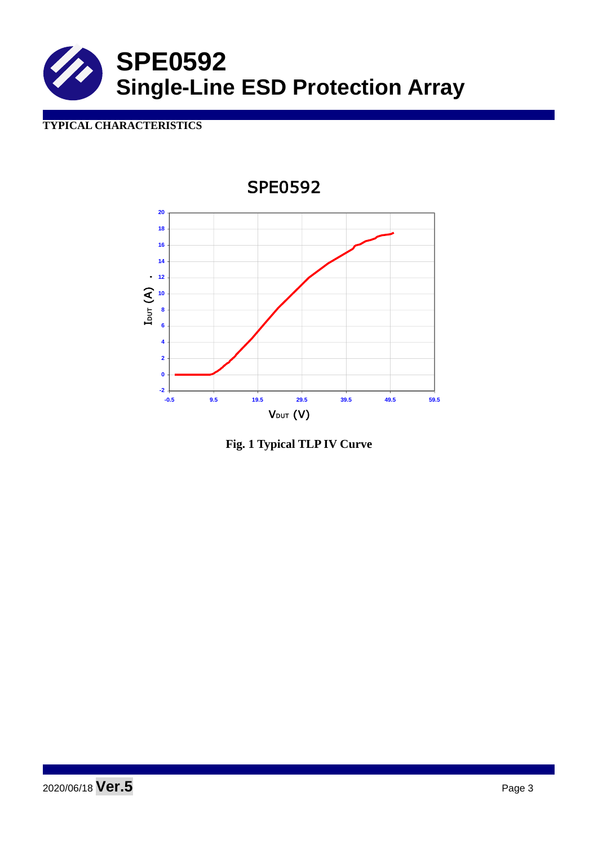

# **TYPICAL CHARACTERISTICS**



**Fig. 1 Typical TLP IV Curve**